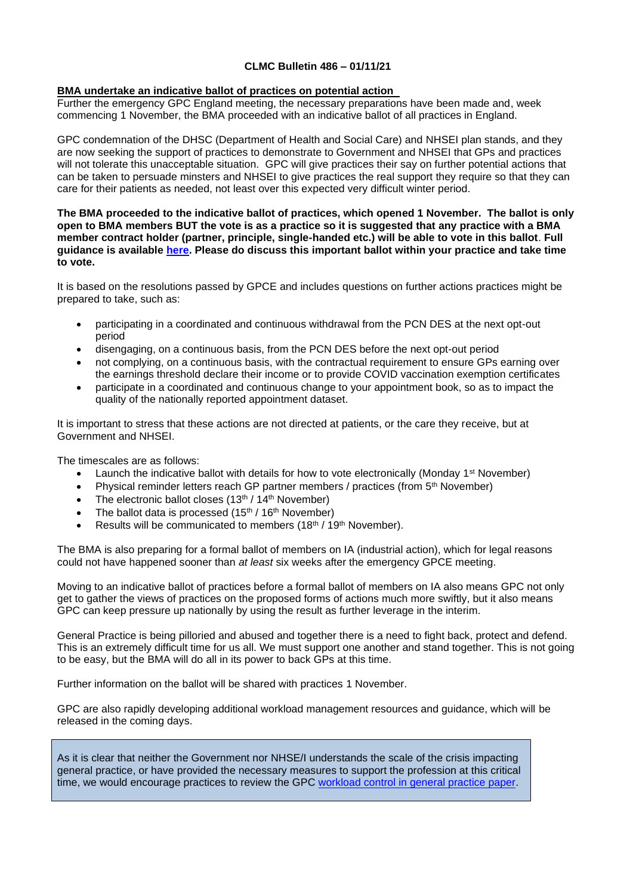# **CLMC Bulletin 486 – 01/11/21**

#### **BMA undertake an indicative ballot of practices on potential action**

Further the emergency GPC England meeting, the necessary preparations have been made and, week commencing 1 November, the BMA proceeded with an indicative ballot of all practices in England.

GPC condemnation of the DHSC (Department of Health and Social Care) and NHSEI plan stands, and they are now seeking the support of practices to demonstrate to Government and NHSEI that GPs and practices will not tolerate this unacceptable situation. GPC will give practices their say on further potential actions that can be taken to persuade minsters and NHSEI to give practices the real support they require so that they can care for their patients as needed, not least over this expected very difficult winter period.

**The BMA proceeded to the indicative ballot of practices, which opened 1 November. The ballot is only open to BMA members BUT the vote is as a practice so it is suggested that any practice with a BMA member contract holder (partner, principle, single-handed etc.) will be able to vote in this ballot**. **Full guidance is available [here.](https://www.bma.org.uk/media/4731/bma_gp_indicative_ballot_supporting_info_oct2021_v2.pdf) Please do discuss this important ballot within your practice and take time to vote.**

It is based on the resolutions passed by GPCE and includes questions on further actions practices might be prepared to take, such as:

- participating in a coordinated and continuous withdrawal from the PCN DES at the next opt-out period
- disengaging, on a continuous basis, from the PCN DES before the next opt-out period
- not complying, on a continuous basis, with the contractual requirement to ensure GPs earning over the earnings threshold declare their income or to provide COVID vaccination exemption certificates
- participate in a coordinated and continuous change to your appointment book, so as to impact the quality of the nationally reported appointment dataset.

It is important to stress that these actions are not directed at patients, or the care they receive, but at Government and NHSEI.

The timescales are as follows:

- Launch the indicative ballot with details for how to vote electronically (Monday 1<sup>st</sup> November)
- Physical reminder letters reach GP partner members / practices (from 5th November)
- The electronic ballot closes  $(13<sup>th</sup> / 14<sup>th</sup>$  November)
- The ballot data is processed  $(15<sup>th</sup> / 16<sup>th</sup>$  November)
- Results will be communicated to members (18<sup>th</sup> / 19<sup>th</sup> November).

The BMA is also preparing for a formal ballot of members on IA (industrial action), which for legal reasons could not have happened sooner than *at least* six weeks after the emergency GPCE meeting.

Moving to an indicative ballot of practices before a formal ballot of members on IA also means GPC not only get to gather the views of practices on the proposed forms of actions much more swiftly, but it also means GPC can keep pressure up nationally by using the result as further leverage in the interim.

General Practice is being pilloried and abused and together there is a need to fight back, protect and defend. This is an extremely difficult time for us all. We must support one another and stand together. This is not going to be easy, but the BMA will do all in its power to back GPs at this time.

Further information on the ballot will be shared with practices 1 November.

GPC are also rapidly developing additional workload management resources and guidance, which will be released in the coming days.

As it is clear that neither the Government nor NHSE/I understands the scale of the crisis impacting general practice, or have provided the necessary measures to support the profession at this critical time, we would encourage practices to review the GPC [workload control in general practice paper.](https://bma-mail.org.uk/t/JVX-7L3DW-JCJOU4-4LL1A2-1/c.aspx)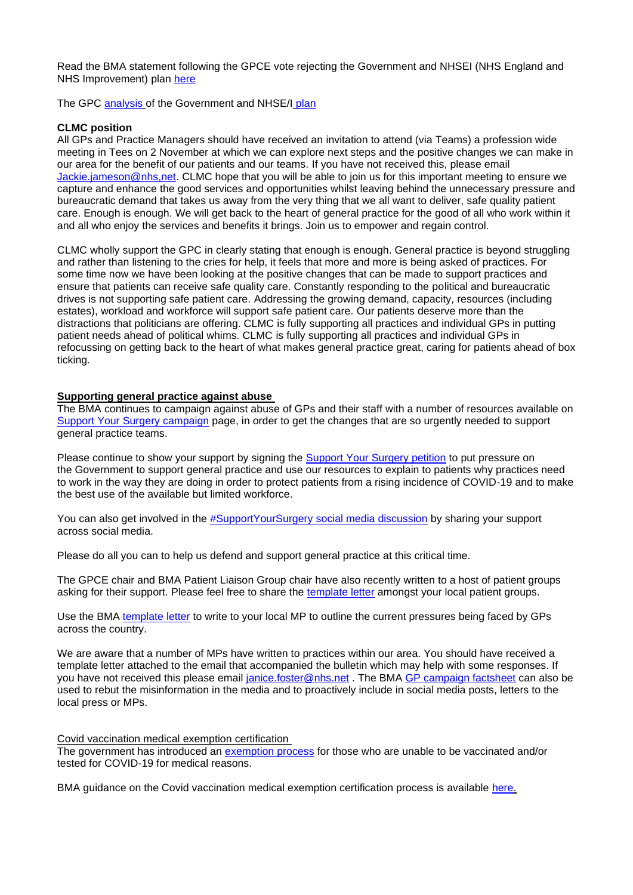Read the BMA statement following the GPCE vote rejecting the Government and NHSEI (NHS England and NHS Improvement) plan [here](https://bma-mail.org.uk/t/JVX-7L771-EC5E0CEA0D8A5317JCJOU4BA186991484320BE/cr.aspx)

The GPC [analysis](https://www.bma.org.uk/media/4702/bma-analysis-of-nhsei-package-for-general-practice-oct21.pdf) of the Government and NHSE/I plan

## **CLMC position**

All GPs and Practice Managers should have received an invitation to attend (via Teams) a profession wide meeting in Tees on 2 November at which we can explore next steps and the positive changes we can make in our area for the benefit of our patients and our teams. If you have not received this, please email [Jackie.jameson@nhs,net.](mailto:Jackie.jameson@nhs,net) CLMC hope that you will be able to join us for this important meeting to ensure we capture and enhance the good services and opportunities whilst leaving behind the unnecessary pressure and bureaucratic demand that takes us away from the very thing that we all want to deliver, safe quality patient care. Enough is enough. We will get back to the heart of general practice for the good of all who work within it and all who enjoy the services and benefits it brings. Join us to empower and regain control.

CLMC wholly support the GPC in clearly stating that enough is enough. General practice is beyond struggling and rather than listening to the cries for help, it feels that more and more is being asked of practices. For some time now we have been looking at the positive changes that can be made to support practices and ensure that patients can receive safe quality care. Constantly responding to the political and bureaucratic drives is not supporting safe patient care. Addressing the growing demand, capacity, resources (including estates), workload and workforce will support safe patient care. Our patients deserve more than the distractions that politicians are offering. CLMC is fully supporting all practices and individual GPs in putting patient needs ahead of political whims. CLMC is fully supporting all practices and individual GPs in refocussing on getting back to the heart of what makes general practice great, caring for patients ahead of box ticking.

## **Supporting general practice against abuse**

The BMA continues to campaign against abuse of GPs and their staff with a number of resources available on [Support Your Surgery campaign](https://www.bma.org.uk/advice-and-support/covid-19/gp-practices/support-your-surgery) page, in order to get the changes that are so urgently needed to support general practice teams.

Please continue to show your support by signing the [Support Your Surgery petition](https://e-activist.com/page/88027/petition/1) to put pressure on the Government to support general practice and use our resources to explain to patients why practices need to work in the way they are doing in order to protect patients from a rising incidence of COVID-19 and to make the best use of the available but limited workforce.

You can also get involved in the [#SupportYourSurgery social media discussion](https://twitter.com/hashtag/SupportYourSurgery?src=hashtag) by sharing your support across social media.

Please do all you can to help us defend and support general practice at this critical time.

The GPCE chair and BMA Patient Liaison Group chair have also recently written to a host of patient groups asking for their support. Please feel free to share the [template letter](https://bma-mail.org.uk/t/JVX-7LCE9-JCJOU4-4LVA6J-1/c.aspx) amongst your local patient groups.

Use the BMA [template letter](https://bma-mail.org.uk/t/JVX-7JQ76-JCJOU4-4KLUIY-1/c.aspx) to write to your local MP to outline the current pressures being faced by GPs across the country.

We are aware that a number of MPs have written to practices within our area. You should have received a template letter attached to the email that accompanied the bulletin which may help with some responses. If you have not received this please email [janice.foster@nhs.net](mailto:janice.foster@nhs.net) . The BMA [GP campaign factsheet](https://www.bma.org.uk/media/4643/bma-gp-campaign-factsheet-sept-2021.pdf) can also be used to rebut the misinformation in the media and to proactively include in social media posts, letters to the local press or MPs.

#### Covid vaccination medical exemption certification

The government has introduced an [exemption process](https://www.gov.uk/guidance/covid-19-medical-exemptions-proving-you-are-unable-to-get-vaccinated) for those who are unable to be vaccinated and/or tested for COVID-19 for medical reasons.

BMA guidance on the Covid vaccination medical exemption certification process is available [here.](https://www.bma.org.uk/advice-and-support/covid-19/gp-practices/covid-19-toolkit-for-gps-and-gp-practices/covid-19-vaccination-exemptions)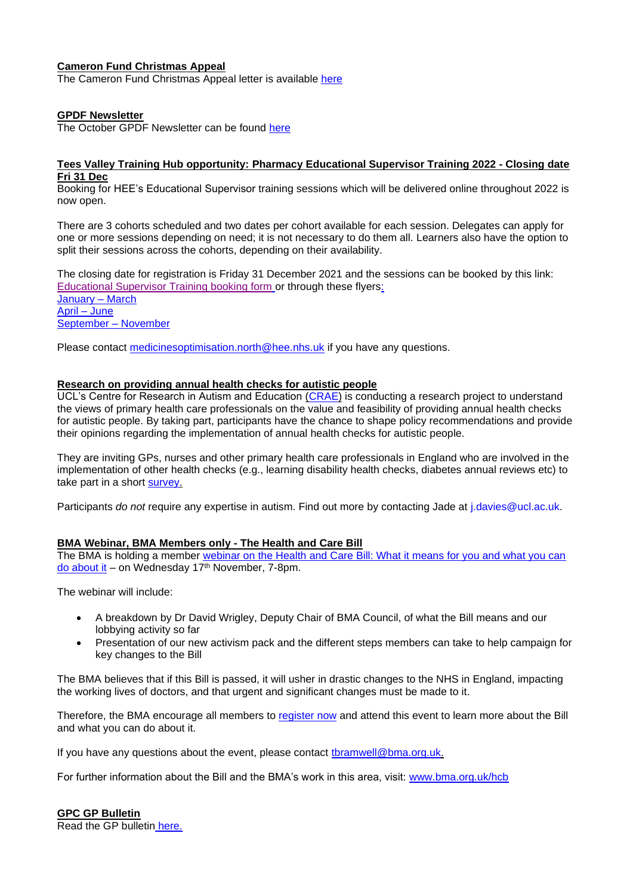# **Cameron Fund Christmas Appeal**

The Cameron Fund Christmas Appeal letter is available [here](https://www.clevelandlmc.org.uk/website/IGP367/files/2021%20Christmas%20Appeal%20letter%20Final%20LMCs.pdf)

#### **GPDF Newsletter**

The October GPDF Newsletter can be found [here](https://www.gpdf.org.uk/gpdf-newsletter-communique-october-2021/)

#### **Tees Valley Training Hub opportunity: Pharmacy Educational Supervisor Training 2022 - Closing date Fri 31 Dec**

Booking for HEE's Educational Supervisor training sessions which will be delivered online throughout 2022 is now open.

There are 3 cohorts scheduled and two dates per cohort available for each session. Delegates can apply for one or more sessions depending on need; it is not necessary to do them all. Learners also have the option to split their sessions across the cohorts, depending on their availability.

The closing date for registration is Friday 31 December 2021 and the sessions can be booked by this link: [Educational Supervisor Training booking form](https://healtheducationyh.onlinesurveys.ac.uk/educational-supervisor-training-2022) or through these flyers: [January –](https://www.clevelandlmc.org.uk/website/IGP367/files/ES%20Webinar%202022%20dates%20Jan-Mar.pdf) March [April –](https://www.clevelandlmc.org.uk/website/IGP367/files/ES%20Webinar%202022%20dates%20Apr-Jun.pdf) June [September –](https://www.clevelandlmc.org.uk/website/IGP367/files/ES%20Webinar%202022%20dates%20Sep-Nov.pdf) November

Please contact [medicinesoptimisation.north@hee.nhs.uk](mailto:medicinesoptimisation.north@hee.nhs.uk) if you have any questions.

#### **Research on providing annual health checks for autistic people**

UCL's Centre for Research in Autism and Education [\(CRAE\)](https://crae.ioe.ac.uk/) is conducting a research project to understand the views of primary health care professionals on the value and feasibility of providing annual health checks for autistic people. By taking part, participants have the chance to shape policy recommendations and provide their opinions regarding the implementation of annual health checks for autistic people.

They are inviting GPs, nurses and other primary health care professionals in England who are involved in the implementation of other health checks (e.g., learning disability health checks, diabetes annual reviews etc) to take part in a short [survey.](https://bit.ly/ahc-register-interest)

Participants *do not* require any expertise in autism. Find out more by contacting Jade at *i.davies@ucl.ac.uk.* 

#### **BMA Webinar, BMA Members only - The Health and Care Bill**

The BMA is holding a member [webinar on the Health and Care Bill: What it means for you and what you can](https://events.bma.org.uk/the-health-and-care-bill/registration)  [do about it](https://events.bma.org.uk/the-health-and-care-bill/registration) – on Wednesday 17th November, 7-8pm.

The webinar will include:

- A breakdown by Dr David Wrigley, Deputy Chair of BMA Council, of what the Bill means and our lobbying activity so far
- Presentation of our new activism pack and the different steps members can take to help campaign for key changes to the Bill

The BMA believes that if this Bill is passed, it will usher in drastic changes to the NHS in England, impacting the working lives of doctors, and that urgent and significant changes must be made to it.

Therefore, the BMA encourage all members to [register now](https://events.bma.org.uk/the-health-and-care-bill/registration) and attend this event to learn more about the Bill and what you can do about it.

If you have any questions about the event, please contact [tbramwell@bma.org.uk.](mailto:tbramwell@bma.org.uk)

For further information about the Bill and the BMA's work in this area, visit: [www.bma.org.uk/hcb](http://www.bma.org.uk/hcb)

**GPC GP Bulletin** Read the GP bulletin [here.](https://bma-mail.org.uk/t/JVX-7LCE9-EC5E0CEA0D8A5317JCJOU4BA186991484320BE/cr.aspx)